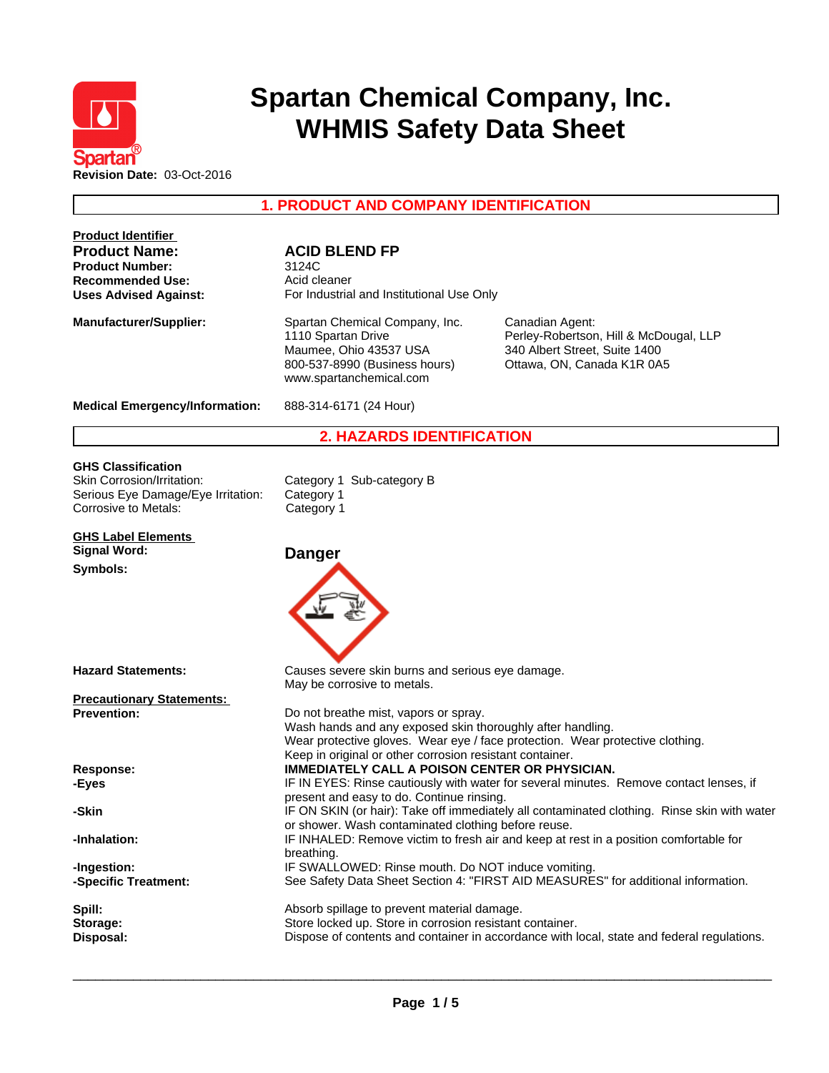

# **Spartan Chemical Company, Inc. WHMIS Safety Data Sheet**

**1. PRODUCT AND COMPANY IDENTIFICATION**

| <b>Product Identifier</b><br><b>Product Name:</b><br><b>Product Number:</b><br><b>Recommended Use:</b><br><b>Uses Advised Against:</b> | <b>ACID BLEND FP</b><br>3124C<br>Acid cleaner<br>For Industrial and Institutional Use Only                                                                      |                                                                                                                          |
|----------------------------------------------------------------------------------------------------------------------------------------|-----------------------------------------------------------------------------------------------------------------------------------------------------------------|--------------------------------------------------------------------------------------------------------------------------|
| <b>Manufacturer/Supplier:</b>                                                                                                          | Spartan Chemical Company, Inc.<br>1110 Spartan Drive<br>Maumee, Ohio 43537 USA<br>800-537-8990 (Business hours)<br>www.spartanchemical.com                      | Canadian Agent:<br>Perley-Robertson, Hill & McDougal, LLP<br>340 Albert Street, Suite 1400<br>Ottawa, ON, Canada K1R 0A5 |
| <b>Medical Emergency/Information:</b>                                                                                                  | 888-314-6171 (24 Hour)                                                                                                                                          |                                                                                                                          |
|                                                                                                                                        | <b>2. HAZARDS IDENTIFICATION</b>                                                                                                                                |                                                                                                                          |
| <b>GHS Classification</b><br>Skin Corrosion/Irritation:<br>Serious Eye Damage/Eye Irritation:<br>Corrosive to Metals:                  | Category 1 Sub-category B<br>Category 1<br>Category 1                                                                                                           |                                                                                                                          |
| <b>GHS Label Elements</b><br><b>Signal Word:</b>                                                                                       | <b>Danger</b>                                                                                                                                                   |                                                                                                                          |
| Symbols:                                                                                                                               |                                                                                                                                                                 |                                                                                                                          |
| <b>Hazard Statements:</b>                                                                                                              | Causes severe skin burns and serious eye damage.<br>May be corrosive to metals.                                                                                 |                                                                                                                          |
| <b>Precautionary Statements:</b>                                                                                                       |                                                                                                                                                                 |                                                                                                                          |
| <b>Prevention:</b>                                                                                                                     | Do not breathe mist, vapors or spray.<br>Wash hands and any exposed skin thoroughly after handling.<br>Keep in original or other corrosion resistant container. | Wear protective gloves. Wear eye / face protection. Wear protective clothing.                                            |
| Response:<br>-Eyes                                                                                                                     | IMMEDIATELY CALL A POISON CENTER OR PHYSICIAN.<br>present and easy to do. Continue rinsing.                                                                     | IF IN EYES: Rinse cautiously with water for several minutes. Remove contact lenses, if                                   |
| -Skin                                                                                                                                  | or shower. Wash contaminated clothing before reuse.                                                                                                             | IF ON SKIN (or hair): Take off immediately all contaminated clothing. Rinse skin with water                              |
| -Inhalation:                                                                                                                           | breathing.                                                                                                                                                      | IF INHALED: Remove victim to fresh air and keep at rest in a position comfortable for                                    |
| -Ingestion:<br>-Specific Treatment:                                                                                                    | IF SWALLOWED: Rinse mouth. Do NOT induce vomiting.                                                                                                              | See Safety Data Sheet Section 4: "FIRST AID MEASURES" for additional information.                                        |
| Spill:<br>Storage:<br>Disposal:                                                                                                        | Absorb spillage to prevent material damage.<br>Store locked up. Store in corrosion resistant container.                                                         | Dispose of contents and container in accordance with local, state and federal regulations.                               |
|                                                                                                                                        |                                                                                                                                                                 |                                                                                                                          |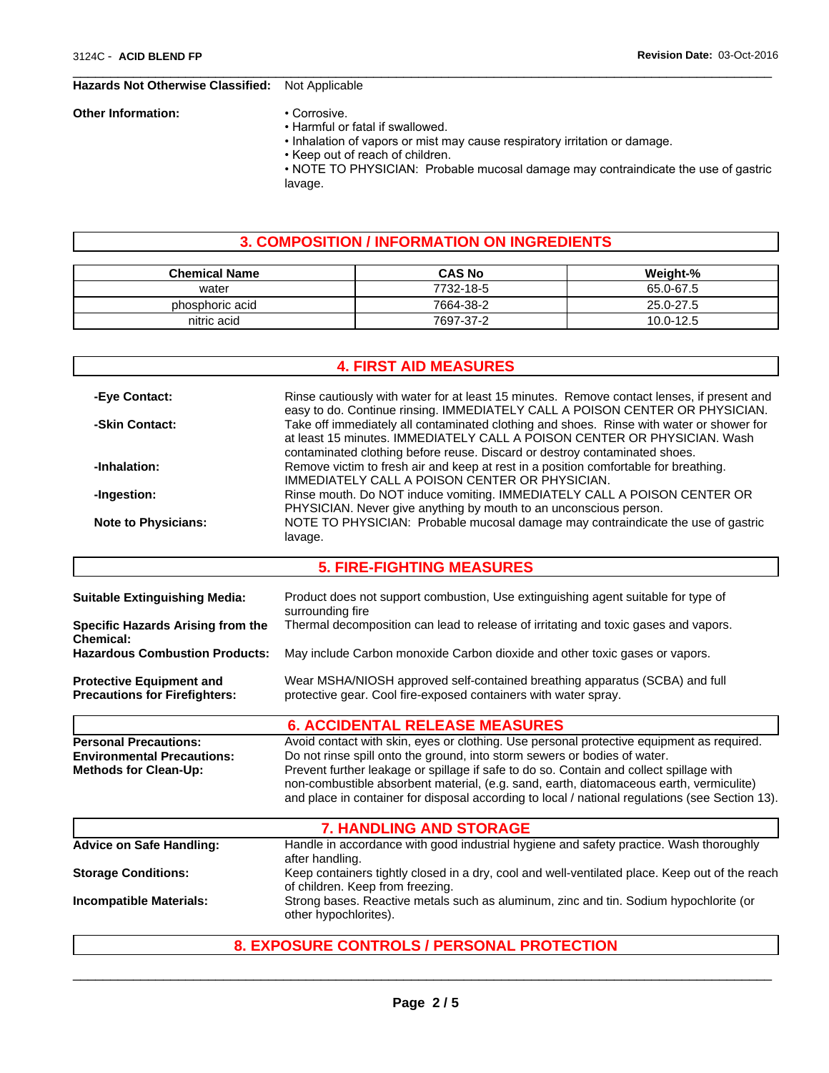#### **Hazards Not Otherwise Classified:** Not Applicable

#### **Other Information:** • Corrosive.

- Harmful or fatal if swallowed.
	- Inhalation of vapors or mist may cause respiratory irritation or damage.

 $\overline{\phantom{a}}$  ,  $\overline{\phantom{a}}$  ,  $\overline{\phantom{a}}$  ,  $\overline{\phantom{a}}$  ,  $\overline{\phantom{a}}$  ,  $\overline{\phantom{a}}$  ,  $\overline{\phantom{a}}$  ,  $\overline{\phantom{a}}$  ,  $\overline{\phantom{a}}$  ,  $\overline{\phantom{a}}$  ,  $\overline{\phantom{a}}$  ,  $\overline{\phantom{a}}$  ,  $\overline{\phantom{a}}$  ,  $\overline{\phantom{a}}$  ,  $\overline{\phantom{a}}$  ,  $\overline{\phantom{a}}$ 

- Keep out of reach of children.
- NOTE TO PHYSICIAN: Probable mucosal damage may contraindicate the use of gastric lavage.

### **3. COMPOSITION / INFORMATION ON INGREDIENTS**

| <b>Chemical Name</b> | <b>CAS No</b> | Weight-%  |
|----------------------|---------------|-----------|
| water                | 7732-18-5     | 65.0-67.5 |
| phosphoric acid      | 7664-38-2     | 25.0-27.5 |
| nitric acid          | 7697-37-2     | 10.0-12.5 |

### **4. FIRST AID MEASURES -Eye Contact:** Rinse cautiously with water for at least 15 minutes. Remove contact lenses, if present and easy to do. Continue rinsing. IMMEDIATELY CALL A POISON CENTER OR PHYSICIAN. **-Skin Contact:** Take off immediately all contaminated clothing and shoes. Rinse with water or shower for at least 15 minutes. IMMEDIATELY CALL A POISON CENTER OR PHYSICIAN. Wash contaminated clothing before reuse. Discard or destroy contaminated shoes. **-Inhalation:** Remove victim to fresh air and keep at rest in a position comfortable for breathing. IMMEDIATELY CALL A POISON CENTER OR PHYSICIAN. **-Ingestion:** Rinse mouth. Do NOT induce vomiting. IMMEDIATELY CALL A POISON CENTER OR PHYSICIAN. Never give anything by mouth to an unconscious person. **Note to Physicians:** NOTE TO PHYSICIAN: Probable mucosal damage may contraindicate the use of gastric lavage. **5. FIRE-FIGHTING MEASURES Suitable Extinguishing Media:** Product does not support combustion, Use extinguishing agent suitable for type of surrounding fire **Specific Hazards Arising from the Chemical:** Thermal decomposition can lead to release of irritating and toxic gases and vapors. **Hazardous Combustion Products:** May include Carbon monoxide Carbon dioxide and other toxic gases or vapors. **Protective Equipment and Precautions for Firefighters:** Wear MSHA/NIOSH approved self-contained breathing apparatus (SCBA) and full protective gear. Cool fire-exposed containers with water spray. **6. ACCIDENTAL RELEASE MEASURES Personal Precautions:** Avoid contact with skin, eyes or clothing. Use personal protective equipment as required. **Environmental Precautions:** Do not rinse spill onto the ground, into storm sewers or bodies of water. **Methods for Clean-Up:** Prevent further leakage or spillage if safe to do so. Contain and collect spillage with non-combustible absorbent material, (e.g. sand, earth, diatomaceous earth, vermiculite) and place in container for disposal according to local / national regulations (see Section 13). **7. HANDLING AND STORAGE Advice on Safe Handling:** Handle in accordance with good industrial hygiene and safety practice. Wash thoroughly after handling. **Storage Conditions:** Keep containers tightly closed in a dry, cool and well-ventilated place. Keep out of the reach of children. Keep from freezing. **Incompatible Materials:** Strong bases. Reactive metals such as aluminum, zinc and tin. Sodium hypochlorite (or other hypochlorites).

### **8. EXPOSURE CONTROLS / PERSONAL PROTECTION**

 $\overline{\phantom{a}}$  ,  $\overline{\phantom{a}}$  ,  $\overline{\phantom{a}}$  ,  $\overline{\phantom{a}}$  ,  $\overline{\phantom{a}}$  ,  $\overline{\phantom{a}}$  ,  $\overline{\phantom{a}}$  ,  $\overline{\phantom{a}}$  ,  $\overline{\phantom{a}}$  ,  $\overline{\phantom{a}}$  ,  $\overline{\phantom{a}}$  ,  $\overline{\phantom{a}}$  ,  $\overline{\phantom{a}}$  ,  $\overline{\phantom{a}}$  ,  $\overline{\phantom{a}}$  ,  $\overline{\phantom{a}}$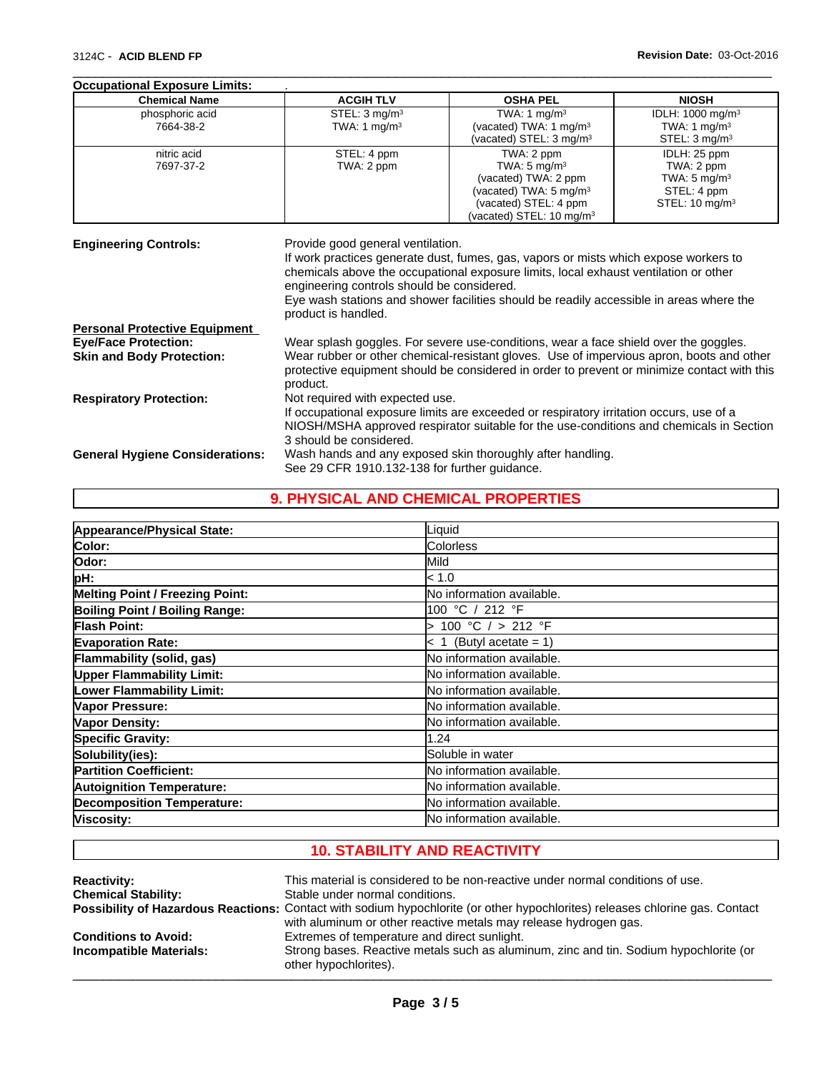| <b>Chemical Name</b>                                                     | <b>ACGIH TLV</b>                                                                                                                                                                                                                                     | <b>OSHA PEL</b>                                                                                                                                                                         | <b>NIOSH</b>                 |  |  |
|--------------------------------------------------------------------------|------------------------------------------------------------------------------------------------------------------------------------------------------------------------------------------------------------------------------------------------------|-----------------------------------------------------------------------------------------------------------------------------------------------------------------------------------------|------------------------------|--|--|
| phosphoric acid                                                          | STEL: $3 \text{ mg/m}^3$                                                                                                                                                                                                                             | TWA: 1 $mg/m3$                                                                                                                                                                          | IDLH: 1000 mg/m <sup>3</sup> |  |  |
| 7664-38-2                                                                | TWA: 1 $mg/m3$                                                                                                                                                                                                                                       | (vacated) TWA: 1 mg/m <sup>3</sup>                                                                                                                                                      | TWA: 1 mg/m <sup>3</sup>     |  |  |
|                                                                          |                                                                                                                                                                                                                                                      | (vacated) STEL: 3 mg/m <sup>3</sup>                                                                                                                                                     | STEL: $3 \text{ mg/m}^3$     |  |  |
| nitric acid                                                              | STEL: 4 ppm                                                                                                                                                                                                                                          | TWA: 2 ppm                                                                                                                                                                              | IDLH: 25 ppm                 |  |  |
| 7697-37-2                                                                | TWA: 2 ppm                                                                                                                                                                                                                                           | TWA: $5 \text{ mg/m}^3$                                                                                                                                                                 | TWA: 2 ppm                   |  |  |
|                                                                          |                                                                                                                                                                                                                                                      | (vacated) TWA: 2 ppm                                                                                                                                                                    | TWA: $5 \text{ mg/m}^3$      |  |  |
|                                                                          |                                                                                                                                                                                                                                                      | (vacated) TWA: 5 mg/m <sup>3</sup>                                                                                                                                                      | STEL: 4 ppm                  |  |  |
|                                                                          |                                                                                                                                                                                                                                                      | (vacated) STEL: 4 ppm<br>(vacated) STEL: 10 mg/m <sup>3</sup>                                                                                                                           | STEL: $10 \text{ mg/m}^3$    |  |  |
|                                                                          |                                                                                                                                                                                                                                                      |                                                                                                                                                                                         |                              |  |  |
|                                                                          | chemicals above the occupational exposure limits, local exhaust ventilation or other<br>engineering controls should be considered.<br>Eye wash stations and shower facilities should be readily accessible in areas where the<br>product is handled. |                                                                                                                                                                                         |                              |  |  |
|                                                                          |                                                                                                                                                                                                                                                      |                                                                                                                                                                                         |                              |  |  |
|                                                                          |                                                                                                                                                                                                                                                      |                                                                                                                                                                                         |                              |  |  |
| <b>Personal Protective Equipment</b><br><b>Eye/Face Protection:</b>      |                                                                                                                                                                                                                                                      | Wear splash goggles. For severe use-conditions, wear a face shield over the goggles.                                                                                                    |                              |  |  |
|                                                                          | product.                                                                                                                                                                                                                                             | Wear rubber or other chemical-resistant gloves. Use of impervious apron, boots and other<br>protective equipment should be considered in order to prevent or minimize contact with this |                              |  |  |
| <b>Skin and Body Protection:</b>                                         |                                                                                                                                                                                                                                                      |                                                                                                                                                                                         |                              |  |  |
|                                                                          | Not required with expected use.                                                                                                                                                                                                                      | If occupational exposure limits are exceeded or respiratory irritation occurs, use of a                                                                                                 |                              |  |  |
|                                                                          |                                                                                                                                                                                                                                                      | NIOSH/MSHA approved respirator suitable for the use-conditions and chemicals in Section                                                                                                 |                              |  |  |
| <b>Respiratory Protection:</b><br><b>General Hygiene Considerations:</b> | 3 should be considered.                                                                                                                                                                                                                              | Wash hands and any exposed skin thoroughly after handling.                                                                                                                              |                              |  |  |

 $\overline{\phantom{a}}$  ,  $\overline{\phantom{a}}$  ,  $\overline{\phantom{a}}$  ,  $\overline{\phantom{a}}$  ,  $\overline{\phantom{a}}$  ,  $\overline{\phantom{a}}$  ,  $\overline{\phantom{a}}$  ,  $\overline{\phantom{a}}$  ,  $\overline{\phantom{a}}$  ,  $\overline{\phantom{a}}$  ,  $\overline{\phantom{a}}$  ,  $\overline{\phantom{a}}$  ,  $\overline{\phantom{a}}$  ,  $\overline{\phantom{a}}$  ,  $\overline{\phantom{a}}$  ,  $\overline{\phantom{a}}$ 

# **9. PHYSICAL AND CHEMICAL PROPERTIES**

| Appearance/Physical State:             | Liquid                    |
|----------------------------------------|---------------------------|
| Color:                                 | Colorless                 |
| Odor:                                  | Mild                      |
| pH:                                    | < 1.0                     |
| <b>Melting Point / Freezing Point:</b> | No information available. |
| Boiling Point / Boiling Range:         | 100 °C / 212 °F           |
| Flash Point:                           | > 100 °C / > 212 °F       |
| <b>Evaporation Rate:</b>               | $< 1$ (Butyl acetate = 1) |
| Flammability (solid, gas)              | No information available. |
| <b>Upper Flammability Limit:</b>       | No information available. |
| Lower Flammability Limit:              | No information available. |
| Vapor Pressure:                        | No information available. |
| Vapor Density:                         | No information available. |
| <b>Specific Gravity:</b>               | 1.24                      |
| Solubility(ies):                       | Soluble in water          |
| <b>Partition Coefficient:</b>          | No information available. |
| <b>Autoignition Temperature:</b>       | No information available. |
| <b>Decomposition Temperature:</b>      | No information available. |
| Viscosity:                             | No information available. |

# **10. STABILITY AND REACTIVITY**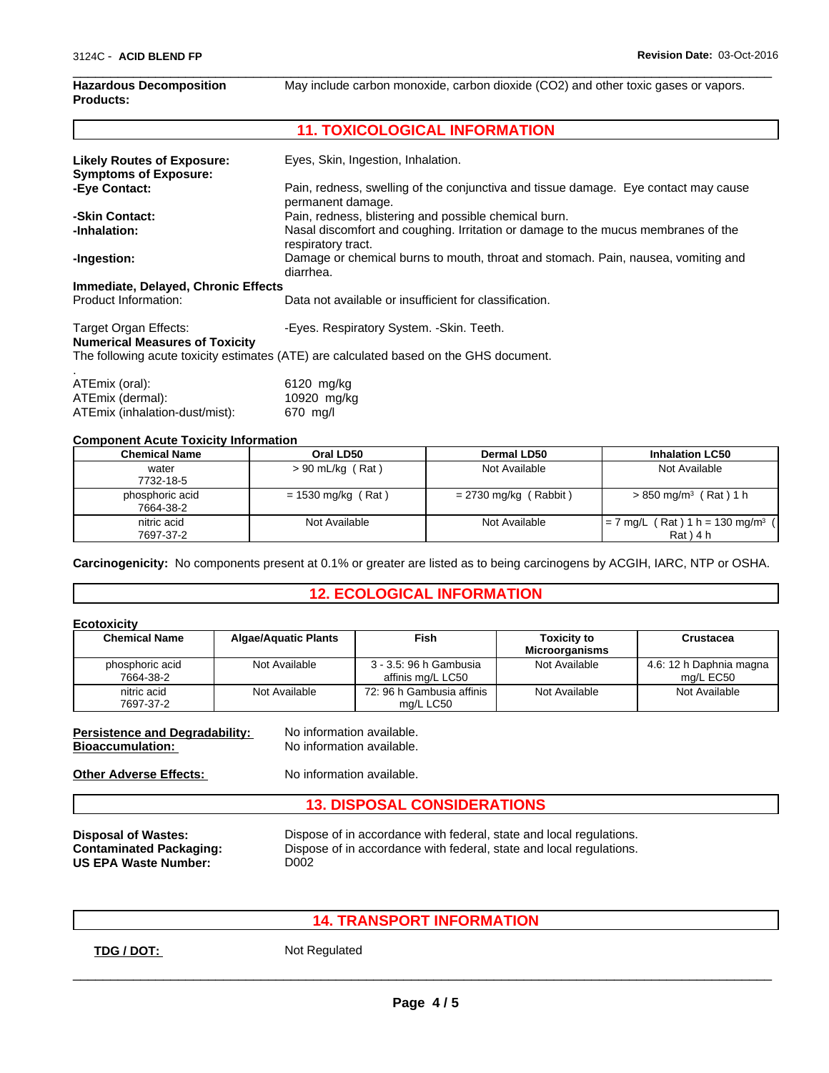### **Hazardous Decomposition Products:**

 $\overline{\phantom{a}}$  ,  $\overline{\phantom{a}}$  ,  $\overline{\phantom{a}}$  ,  $\overline{\phantom{a}}$  ,  $\overline{\phantom{a}}$  ,  $\overline{\phantom{a}}$  ,  $\overline{\phantom{a}}$  ,  $\overline{\phantom{a}}$  ,  $\overline{\phantom{a}}$  ,  $\overline{\phantom{a}}$  ,  $\overline{\phantom{a}}$  ,  $\overline{\phantom{a}}$  ,  $\overline{\phantom{a}}$  ,  $\overline{\phantom{a}}$  ,  $\overline{\phantom{a}}$  ,  $\overline{\phantom{a}}$ May include carbon monoxide, carbon dioxide (CO2) and other toxic gases or vapors.

# **11. TOXICOLOGICAL INFORMATION**

| <b>Likely Routes of Exposure:</b><br><b>Symptoms of Exposure:</b> | Eyes, Skin, Ingestion, Inhalation.                                                                      |
|-------------------------------------------------------------------|---------------------------------------------------------------------------------------------------------|
| -Eye Contact:                                                     | Pain, redness, swelling of the conjunctiva and tissue damage. Eye contact may cause                     |
|                                                                   | permanent damage.                                                                                       |
| -Skin Contact:                                                    | Pain, redness, blistering and possible chemical burn.                                                   |
| -Inhalation:                                                      | Nasal discomfort and coughing. Irritation or damage to the mucus membranes of the<br>respiratory tract. |
| -Ingestion:                                                       | Damage or chemical burns to mouth, throat and stomach. Pain, nausea, vomiting and<br>diarrhea.          |
| Immediate, Delayed, Chronic Effects                               |                                                                                                         |
| Product Information:                                              | Data not available or insufficient for classification.                                                  |
| Target Organ Effects:<br><b>Numerical Measures of Toxicity</b>    | -Eyes. Respiratory System. - Skin. Teeth.                                                               |
|                                                                   | The following acute toxicity estimates (ATE) are calculated based on the GHS document.                  |
| ATEmix (oral):                                                    | 6120 mg/kg                                                                                              |

### **Component Acute Toxicity Information**

ATEmix (inhalation-dust/mist):

ATEmix (dermal): 10920 mg/kg<br>ATEmix (inhalation-dust/mist): 670 mg/l

| Chemical Name                | Oral LD50            | Dermal LD50             | <b>Inhalation LC50</b>                                    |
|------------------------------|----------------------|-------------------------|-----------------------------------------------------------|
| water<br>7732-18-5           | $> 90$ mL/kg (Rat)   | Not Available           | Not Available                                             |
| phosphoric acid<br>7664-38-2 | $= 1530$ mg/kg (Rat) | $= 2730$ mg/kg (Rabbit) | $> 850$ mg/m <sup>3</sup> (Rat) 1 h                       |
| nitric acid<br>7697-37-2     | Not Available        | Not Available           | $= 7$ mg/L (Rat) 1 h = 130 mg/m <sup>3</sup><br>Rat ) 4 h |

**Carcinogenicity:** No components present at 0.1% or greater are listed as to being carcinogens by ACGIH, IARC, NTP or OSHA.

### **12. ECOLOGICAL INFORMATION**

### **Ecotoxicity**

| <b>Chemical Name</b>         | <b>Algae/Aquatic Plants</b> | Fish                                        | <b>Toxicity to</b><br><b>Microorganisms</b> | Crustacea                            |
|------------------------------|-----------------------------|---------------------------------------------|---------------------------------------------|--------------------------------------|
| phosphoric acid<br>7664-38-2 | Not Available               | 3 - 3.5: 96 h Gambusia<br>affinis mg/L LC50 | Not Available                               | 4.6: 12 h Daphnia magna<br>ma/L EC50 |
| nitric acid<br>7697-37-2     | Not Available               | 72: 96 h Gambusia affinis<br>ma/L LC50      | Not Available                               | Not Available                        |

**Persistence and Degradability:** No information available. **Bioaccumulation:** No information available.

**Other Adverse Effects:** No information available.

## **13. DISPOSAL CONSIDERATIONS**

**US EPA Waste Number:** D002

**Disposal of Wastes:** Dispose of in accordance with federal, state and local regulations. Dispose of in accordance with federal, state and local regulations.

 $\overline{\phantom{a}}$  ,  $\overline{\phantom{a}}$  ,  $\overline{\phantom{a}}$  ,  $\overline{\phantom{a}}$  ,  $\overline{\phantom{a}}$  ,  $\overline{\phantom{a}}$  ,  $\overline{\phantom{a}}$  ,  $\overline{\phantom{a}}$  ,  $\overline{\phantom{a}}$  ,  $\overline{\phantom{a}}$  ,  $\overline{\phantom{a}}$  ,  $\overline{\phantom{a}}$  ,  $\overline{\phantom{a}}$  ,  $\overline{\phantom{a}}$  ,  $\overline{\phantom{a}}$  ,  $\overline{\phantom{a}}$ 

**14. TRANSPORT INFORMATION**

**TDG / DOT:** Not Regulated